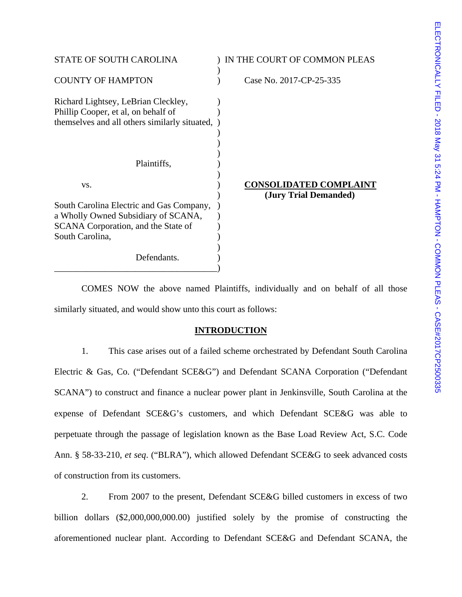| <b>STATE OF SOUTH CAROLINA</b>                                                                                              | IN THE COURT OF COMMON PLEAS                           |
|-----------------------------------------------------------------------------------------------------------------------------|--------------------------------------------------------|
| <b>COUNTY OF HAMPTON</b>                                                                                                    | Case No. 2017-CP-25-335                                |
| Richard Lightsey, LeBrian Cleckley,<br>Phillip Cooper, et al, on behalf of<br>themselves and all others similarly situated, |                                                        |
| Plaintiffs,                                                                                                                 |                                                        |
| VS.                                                                                                                         | <b>CONSOLIDATED COMPLAINT</b><br>(Jury Trial Demanded) |
| South Carolina Electric and Gas Company,                                                                                    |                                                        |
| a Wholly Owned Subsidiary of SCANA,                                                                                         |                                                        |
| SCANA Corporation, and the State of                                                                                         |                                                        |
| South Carolina,                                                                                                             |                                                        |
| Defendants.                                                                                                                 |                                                        |

 COMES NOW the above named Plaintiffs, individually and on behalf of all those similarly situated, and would show unto this court as follows:

## **INTRODUCTION**

 1. This case arises out of a failed scheme orchestrated by Defendant South Carolina Electric & Gas, Co. ("Defendant SCE&G") and Defendant SCANA Corporation ("Defendant SCANA") to construct and finance a nuclear power plant in Jenkinsville, South Carolina at the expense of Defendant SCE&G's customers, and which Defendant SCE&G was able to perpetuate through the passage of legislation known as the Base Load Review Act, S.C. Code Ann. § 58-33-210, *et seq*. ("BLRA"), which allowed Defendant SCE&G to seek advanced costs of construction from its customers.

 2. From 2007 to the present, Defendant SCE&G billed customers in excess of two billion dollars (\$2,000,000,000.00) justified solely by the promise of constructing the aforementioned nuclear plant. According to Defendant SCE&G and Defendant SCANA, the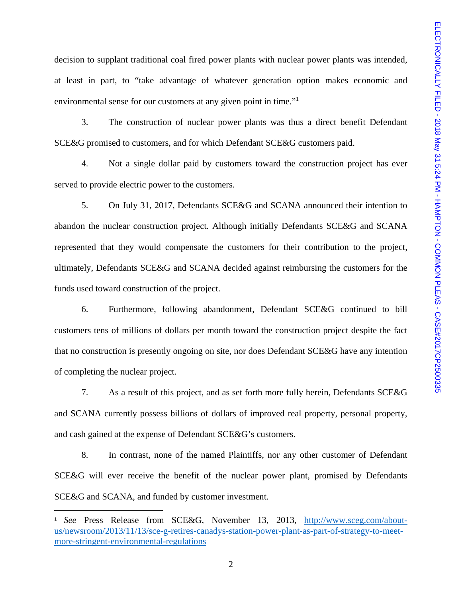decision to supplant traditional coal fired power plants with nuclear power plants was intended, at least in part, to "take advantage of whatever generation option makes economic and environmental sense for our customers at any given point in time."<sup>1</sup>

 3. The construction of nuclear power plants was thus a direct benefit Defendant SCE&G promised to customers, and for which Defendant SCE&G customers paid.

 4. Not a single dollar paid by customers toward the construction project has ever served to provide electric power to the customers.

 5. On July 31, 2017, Defendants SCE&G and SCANA announced their intention to abandon the nuclear construction project. Although initially Defendants SCE&G and SCANA represented that they would compensate the customers for their contribution to the project, ultimately, Defendants SCE&G and SCANA decided against reimbursing the customers for the funds used toward construction of the project.

 6. Furthermore, following abandonment, Defendant SCE&G continued to bill customers tens of millions of dollars per month toward the construction project despite the fact that no construction is presently ongoing on site, nor does Defendant SCE&G have any intention of completing the nuclear project.

 7. As a result of this project, and as set forth more fully herein, Defendants SCE&G and SCANA currently possess billions of dollars of improved real property, personal property, and cash gained at the expense of Defendant SCE&G's customers.

 8. In contrast, none of the named Plaintiffs, nor any other customer of Defendant SCE&G will ever receive the benefit of the nuclear power plant, promised by Defendants SCE&G and SCANA, and funded by customer investment.

<sup>1</sup> *See* Press Release from SCE&G, November 13, 2013, http://www.sceg.com/aboutus/newsroom/2013/11/13/sce-g-retires-canadys-station-power-plant-as-part-of-strategy-to-meetmore-stringent-environmental-regulations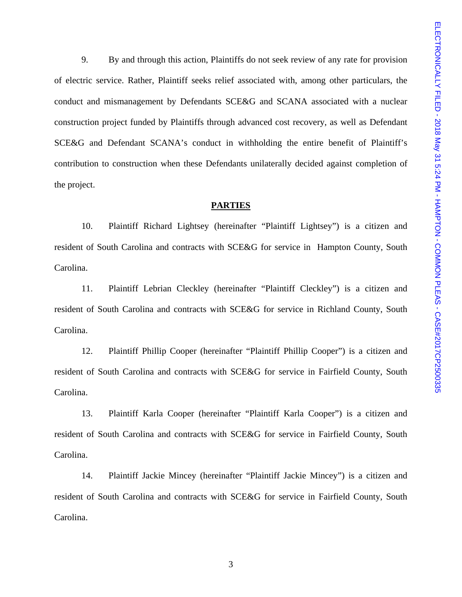9. By and through this action, Plaintiffs do not seek review of any rate for provision of electric service. Rather, Plaintiff seeks relief associated with, among other particulars, the conduct and mismanagement by Defendants SCE&G and SCANA associated with a nuclear construction project funded by Plaintiffs through advanced cost recovery, as well as Defendant SCE&G and Defendant SCANA's conduct in withholding the entire benefit of Plaintiff's contribution to construction when these Defendants unilaterally decided against completion of the project.

### **PARTIES**

 10. Plaintiff Richard Lightsey (hereinafter "Plaintiff Lightsey") is a citizen and resident of South Carolina and contracts with SCE&G for service in Hampton County, South Carolina.

 11. Plaintiff Lebrian Cleckley (hereinafter "Plaintiff Cleckley") is a citizen and resident of South Carolina and contracts with SCE&G for service in Richland County, South Carolina.

 12. Plaintiff Phillip Cooper (hereinafter "Plaintiff Phillip Cooper") is a citizen and resident of South Carolina and contracts with SCE&G for service in Fairfield County, South Carolina.

 13. Plaintiff Karla Cooper (hereinafter "Plaintiff Karla Cooper") is a citizen and resident of South Carolina and contracts with SCE&G for service in Fairfield County, South Carolina.

 14. Plaintiff Jackie Mincey (hereinafter "Plaintiff Jackie Mincey") is a citizen and resident of South Carolina and contracts with SCE&G for service in Fairfield County, South Carolina.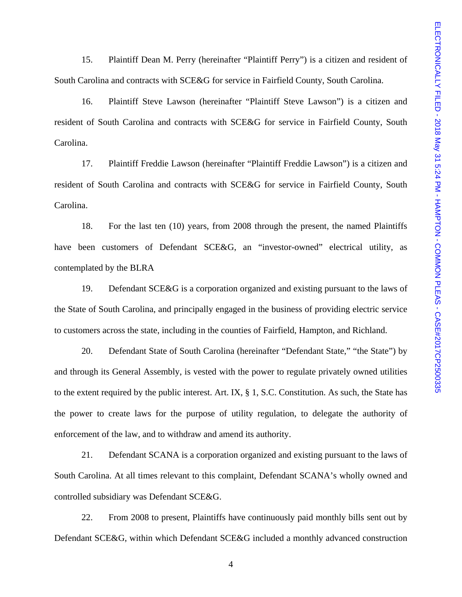15. Plaintiff Dean M. Perry (hereinafter "Plaintiff Perry") is a citizen and resident of South Carolina and contracts with SCE&G for service in Fairfield County, South Carolina.

 16. Plaintiff Steve Lawson (hereinafter "Plaintiff Steve Lawson") is a citizen and resident of South Carolina and contracts with SCE&G for service in Fairfield County, South Carolina.

 17. Plaintiff Freddie Lawson (hereinafter "Plaintiff Freddie Lawson") is a citizen and resident of South Carolina and contracts with SCE&G for service in Fairfield County, South Carolina.

 18. For the last ten (10) years, from 2008 through the present, the named Plaintiffs have been customers of Defendant SCE&G, an "investor-owned" electrical utility, as contemplated by the BLRA

 19. Defendant SCE&G is a corporation organized and existing pursuant to the laws of the State of South Carolina, and principally engaged in the business of providing electric service to customers across the state, including in the counties of Fairfield, Hampton, and Richland.

 20. Defendant State of South Carolina (hereinafter "Defendant State," "the State") by and through its General Assembly, is vested with the power to regulate privately owned utilities to the extent required by the public interest. Art. IX, § 1, S.C. Constitution. As such, the State has the power to create laws for the purpose of utility regulation, to delegate the authority of enforcement of the law, and to withdraw and amend its authority.

 21. Defendant SCANA is a corporation organized and existing pursuant to the laws of South Carolina. At all times relevant to this complaint, Defendant SCANA's wholly owned and controlled subsidiary was Defendant SCE&G.

 22. From 2008 to present, Plaintiffs have continuously paid monthly bills sent out by Defendant SCE&G, within which Defendant SCE&G included a monthly advanced construction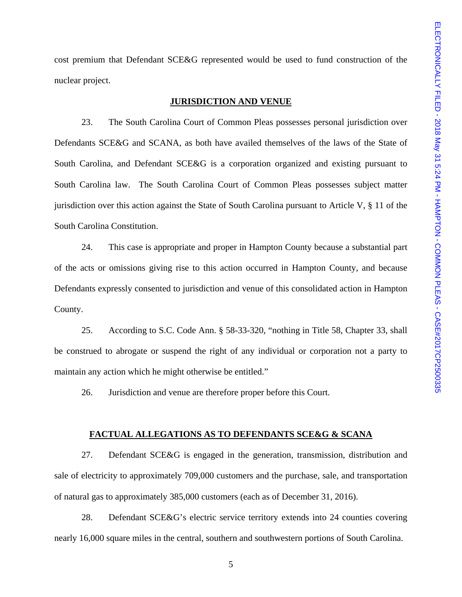cost premium that Defendant SCE&G represented would be used to fund construction of the nuclear project.

### **JURISDICTION AND VENUE**

 23. The South Carolina Court of Common Pleas possesses personal jurisdiction over Defendants SCE&G and SCANA, as both have availed themselves of the laws of the State of South Carolina, and Defendant SCE&G is a corporation organized and existing pursuant to South Carolina law. The South Carolina Court of Common Pleas possesses subject matter jurisdiction over this action against the State of South Carolina pursuant to Article V, § 11 of the South Carolina Constitution.

 24. This case is appropriate and proper in Hampton County because a substantial part of the acts or omissions giving rise to this action occurred in Hampton County, and because Defendants expressly consented to jurisdiction and venue of this consolidated action in Hampton County.

 25. According to S.C. Code Ann. § 58-33-320, "nothing in Title 58, Chapter 33, shall be construed to abrogate or suspend the right of any individual or corporation not a party to maintain any action which he might otherwise be entitled."

26. Jurisdiction and venue are therefore proper before this Court.

#### **FACTUAL ALLEGATIONS AS TO DEFENDANTS SCE&G & SCANA**

 27. Defendant SCE&G is engaged in the generation, transmission, distribution and sale of electricity to approximately 709,000 customers and the purchase, sale, and transportation of natural gas to approximately 385,000 customers (each as of December 31, 2016).

 28. Defendant SCE&G's electric service territory extends into 24 counties covering nearly 16,000 square miles in the central, southern and southwestern portions of South Carolina.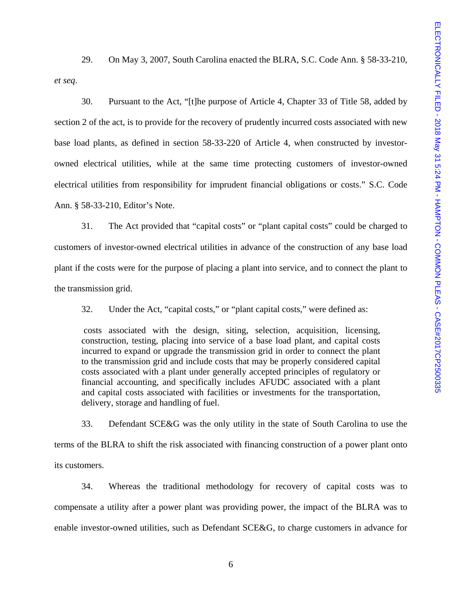29. On May 3, 2007, South Carolina enacted the BLRA, S.C. Code Ann. § 58-33-210, *et seq*.

 30. Pursuant to the Act, "[t]he purpose of Article 4, Chapter 33 of Title 58, added by section 2 of the act, is to provide for the recovery of prudently incurred costs associated with new base load plants, as defined in section 58-33-220 of Article 4, when constructed by investorowned electrical utilities, while at the same time protecting customers of investor-owned electrical utilities from responsibility for imprudent financial obligations or costs." S.C. Code Ann. § 58-33-210, Editor's Note.

 31. The Act provided that "capital costs" or "plant capital costs" could be charged to customers of investor-owned electrical utilities in advance of the construction of any base load plant if the costs were for the purpose of placing a plant into service, and to connect the plant to the transmission grid.

32. Under the Act, "capital costs," or "plant capital costs," were defined as:

costs associated with the design, siting, selection, acquisition, licensing, construction, testing, placing into service of a base load plant, and capital costs incurred to expand or upgrade the transmission grid in order to connect the plant to the transmission grid and include costs that may be properly considered capital costs associated with a plant under generally accepted principles of regulatory or financial accounting, and specifically includes AFUDC associated with a plant and capital costs associated with facilities or investments for the transportation, delivery, storage and handling of fuel.

 33. Defendant SCE&G was the only utility in the state of South Carolina to use the terms of the BLRA to shift the risk associated with financing construction of a power plant onto its customers.

 34. Whereas the traditional methodology for recovery of capital costs was to compensate a utility after a power plant was providing power, the impact of the BLRA was to enable investor-owned utilities, such as Defendant SCE&G, to charge customers in advance for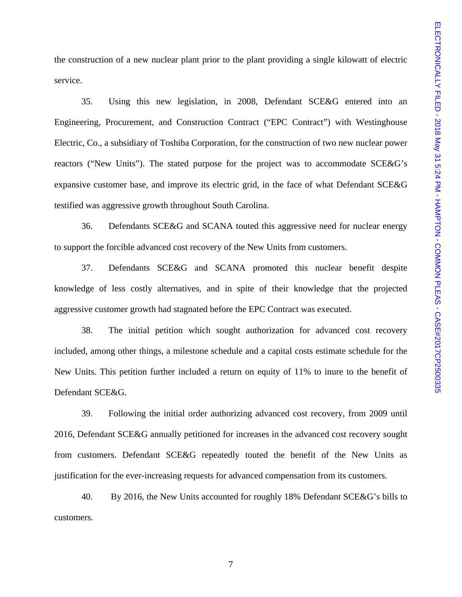the construction of a new nuclear plant prior to the plant providing a single kilowatt of electric service.

 35. Using this new legislation, in 2008, Defendant SCE&G entered into an Engineering, Procurement, and Construction Contract ("EPC Contract") with Westinghouse Electric, Co., a subsidiary of Toshiba Corporation, for the construction of two new nuclear power reactors ("New Units"). The stated purpose for the project was to accommodate SCE&G's expansive customer base, and improve its electric grid, in the face of what Defendant SCE&G testified was aggressive growth throughout South Carolina.

 36. Defendants SCE&G and SCANA touted this aggressive need for nuclear energy to support the forcible advanced cost recovery of the New Units from customers.

 37. Defendants SCE&G and SCANA promoted this nuclear benefit despite knowledge of less costly alternatives, and in spite of their knowledge that the projected aggressive customer growth had stagnated before the EPC Contract was executed.

 38. The initial petition which sought authorization for advanced cost recovery included, among other things, a milestone schedule and a capital costs estimate schedule for the New Units. This petition further included a return on equity of 11% to inure to the benefit of Defendant SCE&G.

 39. Following the initial order authorizing advanced cost recovery, from 2009 until 2016, Defendant SCE&G annually petitioned for increases in the advanced cost recovery sought from customers. Defendant SCE&G repeatedly touted the benefit of the New Units as justification for the ever-increasing requests for advanced compensation from its customers.

 40. By 2016, the New Units accounted for roughly 18% Defendant SCE&G's bills to customers.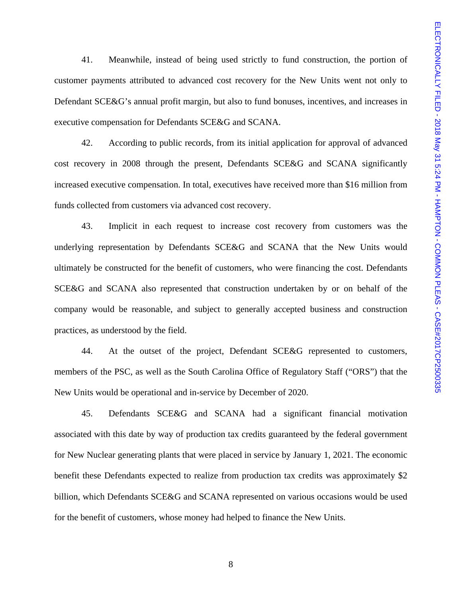41. Meanwhile, instead of being used strictly to fund construction, the portion of customer payments attributed to advanced cost recovery for the New Units went not only to Defendant SCE&G's annual profit margin, but also to fund bonuses, incentives, and increases in executive compensation for Defendants SCE&G and SCANA.

 42. According to public records, from its initial application for approval of advanced cost recovery in 2008 through the present, Defendants SCE&G and SCANA significantly increased executive compensation. In total, executives have received more than \$16 million from funds collected from customers via advanced cost recovery.

 43. Implicit in each request to increase cost recovery from customers was the underlying representation by Defendants SCE&G and SCANA that the New Units would ultimately be constructed for the benefit of customers, who were financing the cost. Defendants SCE&G and SCANA also represented that construction undertaken by or on behalf of the company would be reasonable, and subject to generally accepted business and construction practices, as understood by the field.

 44. At the outset of the project, Defendant SCE&G represented to customers, members of the PSC, as well as the South Carolina Office of Regulatory Staff ("ORS") that the New Units would be operational and in-service by December of 2020.

 45. Defendants SCE&G and SCANA had a significant financial motivation associated with this date by way of production tax credits guaranteed by the federal government for New Nuclear generating plants that were placed in service by January 1, 2021. The economic benefit these Defendants expected to realize from production tax credits was approximately \$2 billion, which Defendants SCE&G and SCANA represented on various occasions would be used for the benefit of customers, whose money had helped to finance the New Units.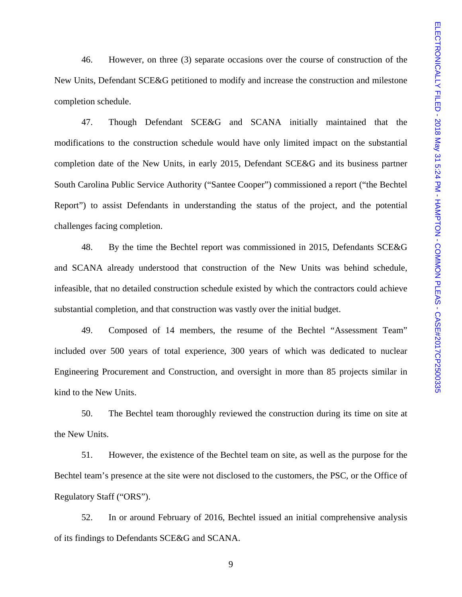46. However, on three (3) separate occasions over the course of construction of the New Units, Defendant SCE&G petitioned to modify and increase the construction and milestone completion schedule.

 47. Though Defendant SCE&G and SCANA initially maintained that the modifications to the construction schedule would have only limited impact on the substantial completion date of the New Units, in early 2015, Defendant SCE&G and its business partner South Carolina Public Service Authority ("Santee Cooper") commissioned a report ("the Bechtel Report") to assist Defendants in understanding the status of the project, and the potential challenges facing completion.

 48. By the time the Bechtel report was commissioned in 2015, Defendants SCE&G and SCANA already understood that construction of the New Units was behind schedule, infeasible, that no detailed construction schedule existed by which the contractors could achieve substantial completion, and that construction was vastly over the initial budget.

 49. Composed of 14 members, the resume of the Bechtel "Assessment Team" included over 500 years of total experience, 300 years of which was dedicated to nuclear Engineering Procurement and Construction, and oversight in more than 85 projects similar in kind to the New Units.

 50. The Bechtel team thoroughly reviewed the construction during its time on site at the New Units.

 51. However, the existence of the Bechtel team on site, as well as the purpose for the Bechtel team's presence at the site were not disclosed to the customers, the PSC, or the Office of Regulatory Staff ("ORS").

 52. In or around February of 2016, Bechtel issued an initial comprehensive analysis of its findings to Defendants SCE&G and SCANA.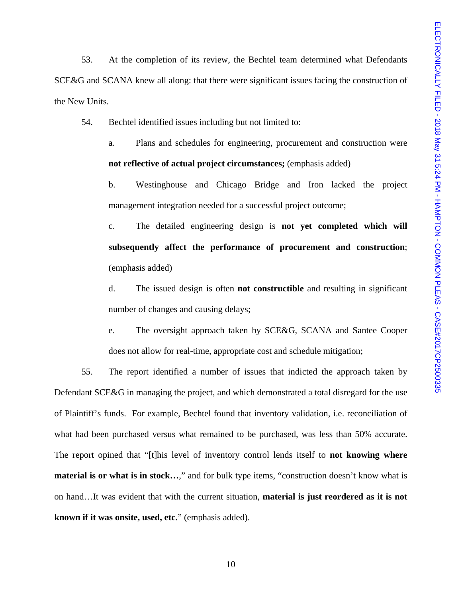53. At the completion of its review, the Bechtel team determined what Defendants SCE&G and SCANA knew all along: that there were significant issues facing the construction of the New Units.

54. Bechtel identified issues including but not limited to:

a. Plans and schedules for engineering, procurement and construction were **not reflective of actual project circumstances;** (emphasis added)

b. Westinghouse and Chicago Bridge and Iron lacked the project management integration needed for a successful project outcome;

c. The detailed engineering design is **not yet completed which will subsequently affect the performance of procurement and construction**; (emphasis added)

d. The issued design is often **not constructible** and resulting in significant number of changes and causing delays;

e. The oversight approach taken by SCE&G, SCANA and Santee Cooper does not allow for real-time, appropriate cost and schedule mitigation;

 55. The report identified a number of issues that indicted the approach taken by Defendant SCE&G in managing the project, and which demonstrated a total disregard for the use of Plaintiff's funds. For example, Bechtel found that inventory validation, i.e. reconciliation of what had been purchased versus what remained to be purchased, was less than 50% accurate. The report opined that "[t]his level of inventory control lends itself to **not knowing where material is or what is in stock…,**" and for bulk type items, "construction doesn't know what is on hand…It was evident that with the current situation, **material is just reordered as it is not known if it was onsite, used, etc.**" (emphasis added).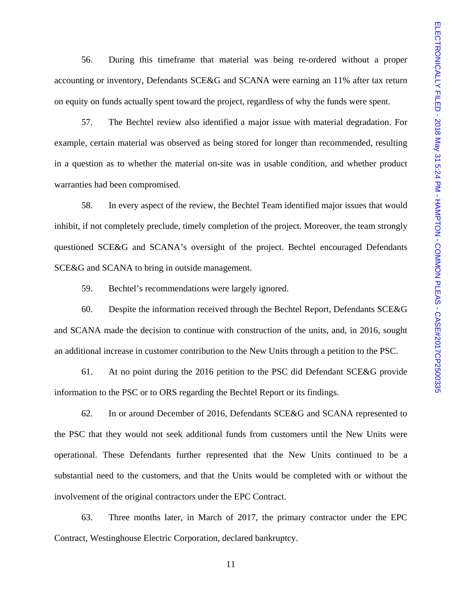56. During this timeframe that material was being re-ordered without a proper accounting or inventory, Defendants SCE&G and SCANA were earning an 11% after tax return on equity on funds actually spent toward the project, regardless of why the funds were spent.

 57. The Bechtel review also identified a major issue with material degradation. For example, certain material was observed as being stored for longer than recommended, resulting in a question as to whether the material on-site was in usable condition, and whether product warranties had been compromised.

 58. In every aspect of the review, the Bechtel Team identified major issues that would inhibit, if not completely preclude, timely completion of the project. Moreover, the team strongly questioned SCE&G and SCANA's oversight of the project. Bechtel encouraged Defendants SCE&G and SCANA to bring in outside management.

59. Bechtel's recommendations were largely ignored.

 60. Despite the information received through the Bechtel Report, Defendants SCE&G and SCANA made the decision to continue with construction of the units, and, in 2016, sought an additional increase in customer contribution to the New Units through a petition to the PSC.

 61. At no point during the 2016 petition to the PSC did Defendant SCE&G provide information to the PSC or to ORS regarding the Bechtel Report or its findings.

 62. In or around December of 2016, Defendants SCE&G and SCANA represented to the PSC that they would not seek additional funds from customers until the New Units were operational. These Defendants further represented that the New Units continued to be a substantial need to the customers, and that the Units would be completed with or without the involvement of the original contractors under the EPC Contract.

 63. Three months later, in March of 2017, the primary contractor under the EPC Contract, Westinghouse Electric Corporation, declared bankruptcy.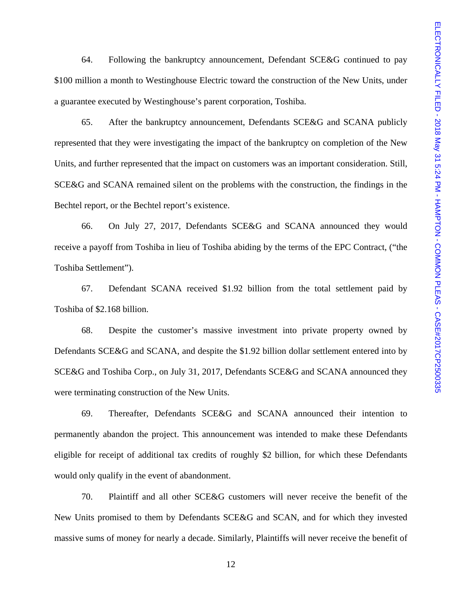64. Following the bankruptcy announcement, Defendant SCE&G continued to pay \$100 million a month to Westinghouse Electric toward the construction of the New Units, under a guarantee executed by Westinghouse's parent corporation, Toshiba.

 65. After the bankruptcy announcement, Defendants SCE&G and SCANA publicly represented that they were investigating the impact of the bankruptcy on completion of the New Units, and further represented that the impact on customers was an important consideration. Still, SCE&G and SCANA remained silent on the problems with the construction, the findings in the Bechtel report, or the Bechtel report's existence.

 66. On July 27, 2017, Defendants SCE&G and SCANA announced they would receive a payoff from Toshiba in lieu of Toshiba abiding by the terms of the EPC Contract, ("the Toshiba Settlement").

 67. Defendant SCANA received \$1.92 billion from the total settlement paid by Toshiba of \$2.168 billion.

 68. Despite the customer's massive investment into private property owned by Defendants SCE&G and SCANA, and despite the \$1.92 billion dollar settlement entered into by SCE&G and Toshiba Corp., on July 31, 2017, Defendants SCE&G and SCANA announced they were terminating construction of the New Units.

 69. Thereafter, Defendants SCE&G and SCANA announced their intention to permanently abandon the project. This announcement was intended to make these Defendants eligible for receipt of additional tax credits of roughly \$2 billion, for which these Defendants would only qualify in the event of abandonment.

 70. Plaintiff and all other SCE&G customers will never receive the benefit of the New Units promised to them by Defendants SCE&G and SCAN, and for which they invested massive sums of money for nearly a decade. Similarly, Plaintiffs will never receive the benefit of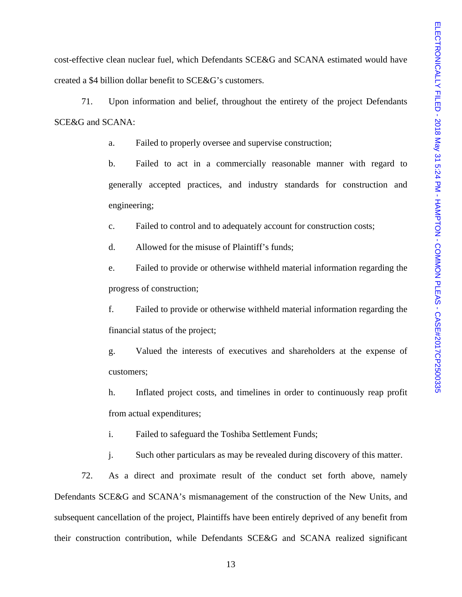cost-effective clean nuclear fuel, which Defendants SCE&G and SCANA estimated would have created a \$4 billion dollar benefit to SCE&G's customers.

 71. Upon information and belief, throughout the entirety of the project Defendants SCE&G and SCANA:

a. Failed to properly oversee and supervise construction;

 b. Failed to act in a commercially reasonable manner with regard to generally accepted practices, and industry standards for construction and engineering;

c. Failed to control and to adequately account for construction costs;

d. Allowed for the misuse of Plaintiff's funds;

 e. Failed to provide or otherwise withheld material information regarding the progress of construction;

f. Failed to provide or otherwise withheld material information regarding the financial status of the project;

g. Valued the interests of executives and shareholders at the expense of customers;

h. Inflated project costs, and timelines in order to continuously reap profit from actual expenditures;

i. Failed to safeguard the Toshiba Settlement Funds;

j. Such other particulars as may be revealed during discovery of this matter.

 72. As a direct and proximate result of the conduct set forth above, namely Defendants SCE&G and SCANA's mismanagement of the construction of the New Units, and subsequent cancellation of the project, Plaintiffs have been entirely deprived of any benefit from their construction contribution, while Defendants SCE&G and SCANA realized significant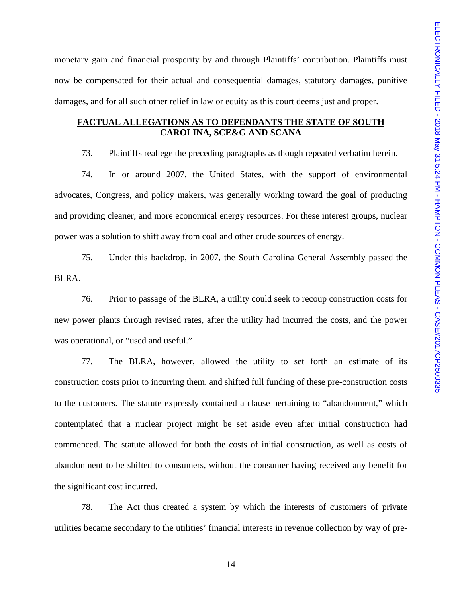monetary gain and financial prosperity by and through Plaintiffs' contribution. Plaintiffs must now be compensated for their actual and consequential damages, statutory damages, punitive damages, and for all such other relief in law or equity as this court deems just and proper.

## **FACTUAL ALLEGATIONS AS TO DEFENDANTS THE STATE OF SOUTH CAROLINA, SCE&G AND SCANA**

73. Plaintiffs reallege the preceding paragraphs as though repeated verbatim herein.

 74. In or around 2007, the United States, with the support of environmental advocates, Congress, and policy makers, was generally working toward the goal of producing and providing cleaner, and more economical energy resources. For these interest groups, nuclear power was a solution to shift away from coal and other crude sources of energy.

 75. Under this backdrop, in 2007, the South Carolina General Assembly passed the BLRA.

 76. Prior to passage of the BLRA, a utility could seek to recoup construction costs for new power plants through revised rates, after the utility had incurred the costs, and the power was operational, or "used and useful."

 77. The BLRA, however, allowed the utility to set forth an estimate of its construction costs prior to incurring them, and shifted full funding of these pre-construction costs to the customers. The statute expressly contained a clause pertaining to "abandonment," which contemplated that a nuclear project might be set aside even after initial construction had commenced. The statute allowed for both the costs of initial construction, as well as costs of abandonment to be shifted to consumers, without the consumer having received any benefit for the significant cost incurred.

 78. The Act thus created a system by which the interests of customers of private utilities became secondary to the utilities' financial interests in revenue collection by way of pre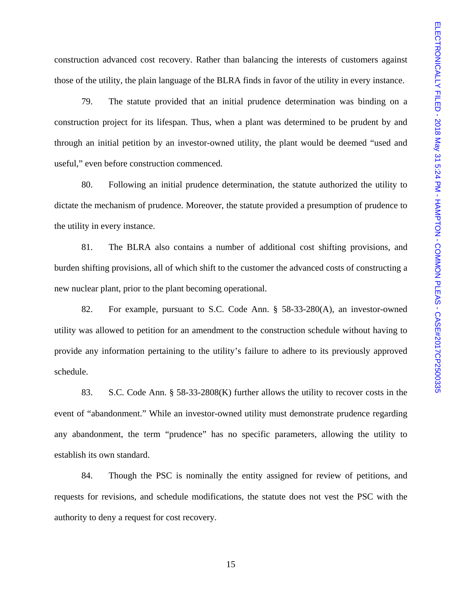construction advanced cost recovery. Rather than balancing the interests of customers against those of the utility, the plain language of the BLRA finds in favor of the utility in every instance.

 79. The statute provided that an initial prudence determination was binding on a construction project for its lifespan. Thus, when a plant was determined to be prudent by and through an initial petition by an investor-owned utility, the plant would be deemed "used and useful," even before construction commenced.

 80. Following an initial prudence determination, the statute authorized the utility to dictate the mechanism of prudence. Moreover, the statute provided a presumption of prudence to the utility in every instance.

 81. The BLRA also contains a number of additional cost shifting provisions, and burden shifting provisions, all of which shift to the customer the advanced costs of constructing a new nuclear plant, prior to the plant becoming operational.

 82. For example, pursuant to S.C. Code Ann. § 58-33-280(A), an investor-owned utility was allowed to petition for an amendment to the construction schedule without having to provide any information pertaining to the utility's failure to adhere to its previously approved schedule.

 83. S.C. Code Ann. § 58-33-2808(K) further allows the utility to recover costs in the event of "abandonment." While an investor-owned utility must demonstrate prudence regarding any abandonment, the term "prudence" has no specific parameters, allowing the utility to establish its own standard.

 84. Though the PSC is nominally the entity assigned for review of petitions, and requests for revisions, and schedule modifications, the statute does not vest the PSC with the authority to deny a request for cost recovery.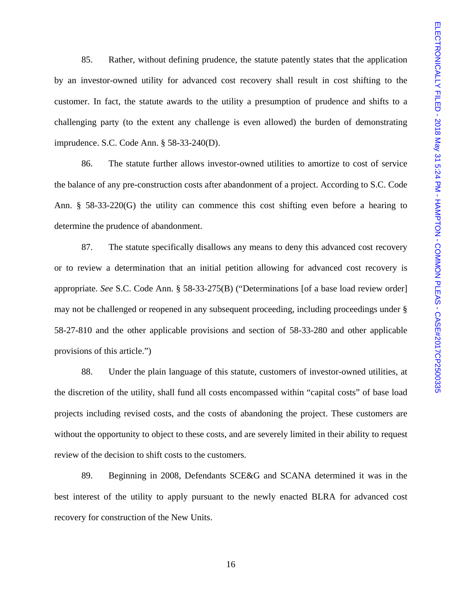85. Rather, without defining prudence, the statute patently states that the application by an investor-owned utility for advanced cost recovery shall result in cost shifting to the customer. In fact, the statute awards to the utility a presumption of prudence and shifts to a challenging party (to the extent any challenge is even allowed) the burden of demonstrating imprudence. S.C. Code Ann. § 58-33-240(D).

 86. The statute further allows investor-owned utilities to amortize to cost of service the balance of any pre-construction costs after abandonment of a project. According to S.C. Code Ann. § 58-33-220(G) the utility can commence this cost shifting even before a hearing to determine the prudence of abandonment.

 87. The statute specifically disallows any means to deny this advanced cost recovery or to review a determination that an initial petition allowing for advanced cost recovery is appropriate. *See* S.C. Code Ann. § 58-33-275(B) ("Determinations [of a base load review order] may not be challenged or reopened in any subsequent proceeding, including proceedings under § 58-27-810 and the other applicable provisions and section of 58-33-280 and other applicable provisions of this article.")

 88. Under the plain language of this statute, customers of investor-owned utilities, at the discretion of the utility, shall fund all costs encompassed within "capital costs" of base load projects including revised costs, and the costs of abandoning the project. These customers are without the opportunity to object to these costs, and are severely limited in their ability to request review of the decision to shift costs to the customers.

 89. Beginning in 2008, Defendants SCE&G and SCANA determined it was in the best interest of the utility to apply pursuant to the newly enacted BLRA for advanced cost recovery for construction of the New Units.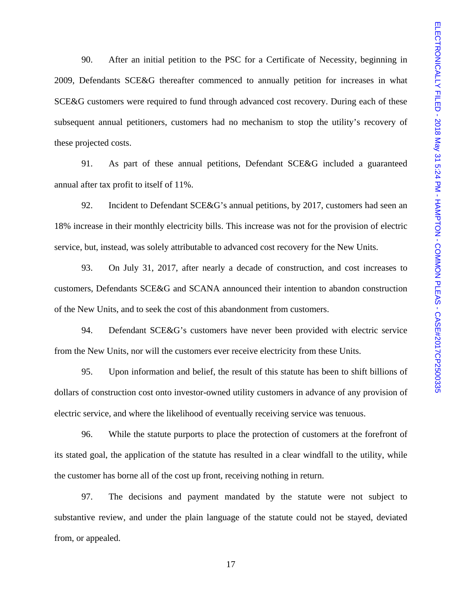90. After an initial petition to the PSC for a Certificate of Necessity, beginning in 2009, Defendants SCE&G thereafter commenced to annually petition for increases in what SCE&G customers were required to fund through advanced cost recovery. During each of these subsequent annual petitioners, customers had no mechanism to stop the utility's recovery of these projected costs.

 91. As part of these annual petitions, Defendant SCE&G included a guaranteed annual after tax profit to itself of 11%.

 92. Incident to Defendant SCE&G's annual petitions, by 2017, customers had seen an 18% increase in their monthly electricity bills. This increase was not for the provision of electric service, but, instead, was solely attributable to advanced cost recovery for the New Units.

 93. On July 31, 2017, after nearly a decade of construction, and cost increases to customers, Defendants SCE&G and SCANA announced their intention to abandon construction of the New Units, and to seek the cost of this abandonment from customers.

 94. Defendant SCE&G's customers have never been provided with electric service from the New Units, nor will the customers ever receive electricity from these Units.

 95. Upon information and belief, the result of this statute has been to shift billions of dollars of construction cost onto investor-owned utility customers in advance of any provision of electric service, and where the likelihood of eventually receiving service was tenuous.

 96. While the statute purports to place the protection of customers at the forefront of its stated goal, the application of the statute has resulted in a clear windfall to the utility, while the customer has borne all of the cost up front, receiving nothing in return.

 97. The decisions and payment mandated by the statute were not subject to substantive review, and under the plain language of the statute could not be stayed, deviated from, or appealed.

17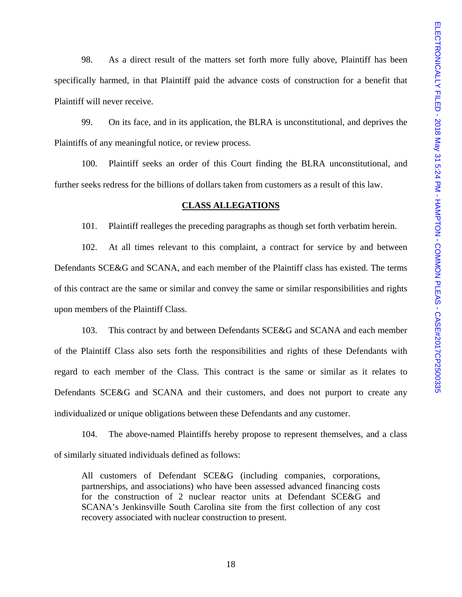98. As a direct result of the matters set forth more fully above, Plaintiff has been specifically harmed, in that Plaintiff paid the advance costs of construction for a benefit that Plaintiff will never receive.

 99. On its face, and in its application, the BLRA is unconstitutional, and deprives the Plaintiffs of any meaningful notice, or review process.

 100. Plaintiff seeks an order of this Court finding the BLRA unconstitutional, and further seeks redress for the billions of dollars taken from customers as a result of this law.

#### **CLASS ALLEGATIONS**

101. Plaintiff realleges the preceding paragraphs as though set forth verbatim herein.

102. At all times relevant to this complaint, a contract for service by and between Defendants SCE&G and SCANA, and each member of the Plaintiff class has existed. The terms of this contract are the same or similar and convey the same or similar responsibilities and rights upon members of the Plaintiff Class.

 103. This contract by and between Defendants SCE&G and SCANA and each member of the Plaintiff Class also sets forth the responsibilities and rights of these Defendants with regard to each member of the Class. This contract is the same or similar as it relates to Defendants SCE&G and SCANA and their customers, and does not purport to create any individualized or unique obligations between these Defendants and any customer.

 104. The above-named Plaintiffs hereby propose to represent themselves, and a class of similarly situated individuals defined as follows:

All customers of Defendant SCE&G (including companies, corporations, partnerships, and associations) who have been assessed advanced financing costs for the construction of 2 nuclear reactor units at Defendant SCE&G and SCANA's Jenkinsville South Carolina site from the first collection of any cost recovery associated with nuclear construction to present.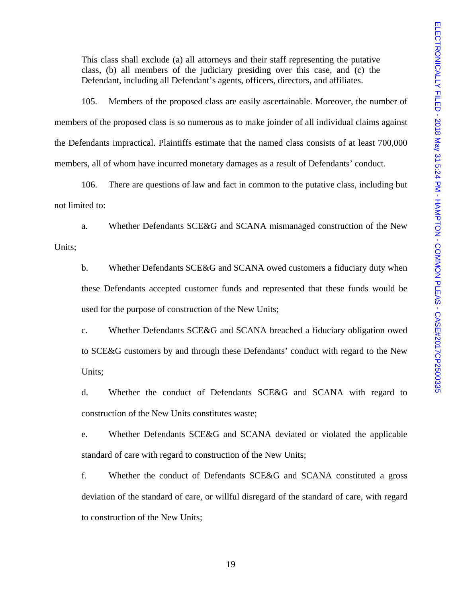This class shall exclude (a) all attorneys and their staff representing the putative class, (b) all members of the judiciary presiding over this case, and (c) the Defendant, including all Defendant's agents, officers, directors, and affiliates.

 105. Members of the proposed class are easily ascertainable. Moreover, the number of members of the proposed class is so numerous as to make joinder of all individual claims against the Defendants impractical. Plaintiffs estimate that the named class consists of at least 700,000 members, all of whom have incurred monetary damages as a result of Defendants' conduct.

 106. There are questions of law and fact in common to the putative class, including but not limited to:

 a. Whether Defendants SCE&G and SCANA mismanaged construction of the New Units;

 b. Whether Defendants SCE&G and SCANA owed customers a fiduciary duty when these Defendants accepted customer funds and represented that these funds would be used for the purpose of construction of the New Units;

 c. Whether Defendants SCE&G and SCANA breached a fiduciary obligation owed to SCE&G customers by and through these Defendants' conduct with regard to the New Units;

 d. Whether the conduct of Defendants SCE&G and SCANA with regard to construction of the New Units constitutes waste;

 e. Whether Defendants SCE&G and SCANA deviated or violated the applicable standard of care with regard to construction of the New Units;

 f. Whether the conduct of Defendants SCE&G and SCANA constituted a gross deviation of the standard of care, or willful disregard of the standard of care, with regard to construction of the New Units;

19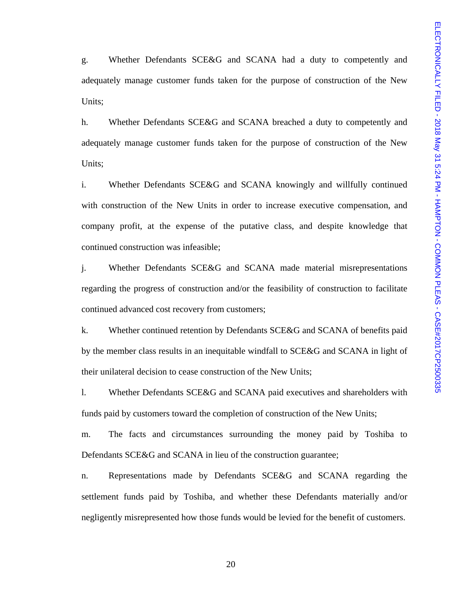g. Whether Defendants SCE&G and SCANA had a duty to competently and adequately manage customer funds taken for the purpose of construction of the New Units;

 h. Whether Defendants SCE&G and SCANA breached a duty to competently and adequately manage customer funds taken for the purpose of construction of the New Units;

 i. Whether Defendants SCE&G and SCANA knowingly and willfully continued with construction of the New Units in order to increase executive compensation, and company profit, at the expense of the putative class, and despite knowledge that continued construction was infeasible;

 j. Whether Defendants SCE&G and SCANA made material misrepresentations regarding the progress of construction and/or the feasibility of construction to facilitate continued advanced cost recovery from customers;

 k. Whether continued retention by Defendants SCE&G and SCANA of benefits paid by the member class results in an inequitable windfall to SCE&G and SCANA in light of their unilateral decision to cease construction of the New Units;

 l. Whether Defendants SCE&G and SCANA paid executives and shareholders with funds paid by customers toward the completion of construction of the New Units;

 m. The facts and circumstances surrounding the money paid by Toshiba to Defendants SCE&G and SCANA in lieu of the construction guarantee;

 n. Representations made by Defendants SCE&G and SCANA regarding the settlement funds paid by Toshiba, and whether these Defendants materially and/or negligently misrepresented how those funds would be levied for the benefit of customers.

20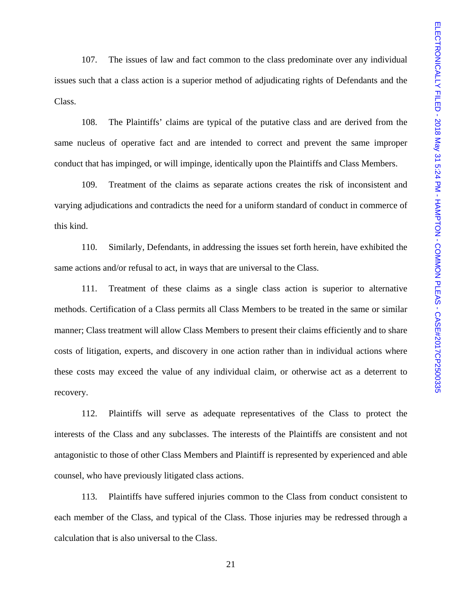107. The issues of law and fact common to the class predominate over any individual issues such that a class action is a superior method of adjudicating rights of Defendants and the Class.

108. The Plaintiffs' claims are typical of the putative class and are derived from the same nucleus of operative fact and are intended to correct and prevent the same improper conduct that has impinged, or will impinge, identically upon the Plaintiffs and Class Members.

109. Treatment of the claims as separate actions creates the risk of inconsistent and varying adjudications and contradicts the need for a uniform standard of conduct in commerce of this kind.

 110. Similarly, Defendants, in addressing the issues set forth herein, have exhibited the same actions and/or refusal to act, in ways that are universal to the Class.

 111. Treatment of these claims as a single class action is superior to alternative methods. Certification of a Class permits all Class Members to be treated in the same or similar manner; Class treatment will allow Class Members to present their claims efficiently and to share costs of litigation, experts, and discovery in one action rather than in individual actions where these costs may exceed the value of any individual claim, or otherwise act as a deterrent to recovery.

 112. Plaintiffs will serve as adequate representatives of the Class to protect the interests of the Class and any subclasses. The interests of the Plaintiffs are consistent and not antagonistic to those of other Class Members and Plaintiff is represented by experienced and able counsel, who have previously litigated class actions.

 113. Plaintiffs have suffered injuries common to the Class from conduct consistent to each member of the Class, and typical of the Class. Those injuries may be redressed through a calculation that is also universal to the Class.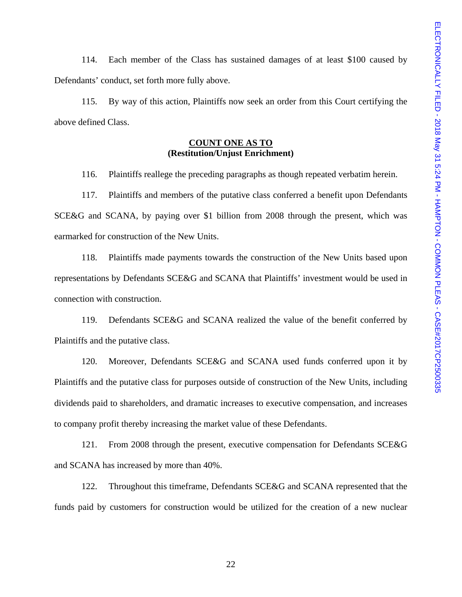114. Each member of the Class has sustained damages of at least \$100 caused by Defendants' conduct, set forth more fully above.

 115. By way of this action, Plaintiffs now seek an order from this Court certifying the above defined Class.

# **COUNT ONE AS TO (Restitution/Unjust Enrichment)**

116. Plaintiffs reallege the preceding paragraphs as though repeated verbatim herein.

 117. Plaintiffs and members of the putative class conferred a benefit upon Defendants SCE&G and SCANA, by paying over \$1 billion from 2008 through the present, which was earmarked for construction of the New Units.

 118. Plaintiffs made payments towards the construction of the New Units based upon representations by Defendants SCE&G and SCANA that Plaintiffs' investment would be used in connection with construction.

 119. Defendants SCE&G and SCANA realized the value of the benefit conferred by Plaintiffs and the putative class.

 120. Moreover, Defendants SCE&G and SCANA used funds conferred upon it by Plaintiffs and the putative class for purposes outside of construction of the New Units, including dividends paid to shareholders, and dramatic increases to executive compensation, and increases to company profit thereby increasing the market value of these Defendants.

 121. From 2008 through the present, executive compensation for Defendants SCE&G and SCANA has increased by more than 40%.

 122. Throughout this timeframe, Defendants SCE&G and SCANA represented that the funds paid by customers for construction would be utilized for the creation of a new nuclear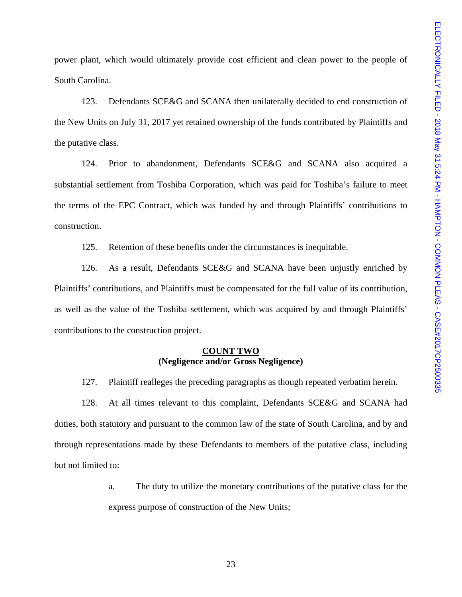power plant, which would ultimately provide cost efficient and clean power to the people of South Carolina.

 123. Defendants SCE&G and SCANA then unilaterally decided to end construction of the New Units on July 31, 2017 yet retained ownership of the funds contributed by Plaintiffs and the putative class.

 124. Prior to abandonment, Defendants SCE&G and SCANA also acquired a substantial settlement from Toshiba Corporation, which was paid for Toshiba's failure to meet the terms of the EPC Contract, which was funded by and through Plaintiffs' contributions to construction.

125. Retention of these benefits under the circumstances is inequitable.

 126. As a result, Defendants SCE&G and SCANA have been unjustly enriched by Plaintiffs' contributions, and Plaintiffs must be compensated for the full value of its contribution, as well as the value of the Toshiba settlement, which was acquired by and through Plaintiffs' contributions to the construction project.

### **COUNT TWO (Negligence and/or Gross Negligence)**

127. Plaintiff realleges the preceding paragraphs as though repeated verbatim herein.

 128. At all times relevant to this complaint, Defendants SCE&G and SCANA had duties, both statutory and pursuant to the common law of the state of South Carolina, and by and through representations made by these Defendants to members of the putative class, including but not limited to:

> a. The duty to utilize the monetary contributions of the putative class for the express purpose of construction of the New Units;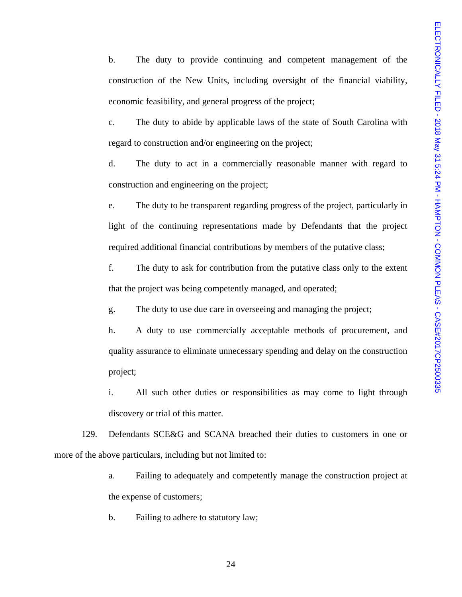b. The duty to provide continuing and competent management of the construction of the New Units, including oversight of the financial viability, economic feasibility, and general progress of the project;

c. The duty to abide by applicable laws of the state of South Carolina with regard to construction and/or engineering on the project;

d. The duty to act in a commercially reasonable manner with regard to construction and engineering on the project;

e. The duty to be transparent regarding progress of the project, particularly in light of the continuing representations made by Defendants that the project required additional financial contributions by members of the putative class;

f. The duty to ask for contribution from the putative class only to the extent that the project was being competently managed, and operated;

g. The duty to use due care in overseeing and managing the project;

h. A duty to use commercially acceptable methods of procurement, and quality assurance to eliminate unnecessary spending and delay on the construction project;

i. All such other duties or responsibilities as may come to light through discovery or trial of this matter.

 129. Defendants SCE&G and SCANA breached their duties to customers in one or more of the above particulars, including but not limited to:

> a. Failing to adequately and competently manage the construction project at the expense of customers;

b. Failing to adhere to statutory law;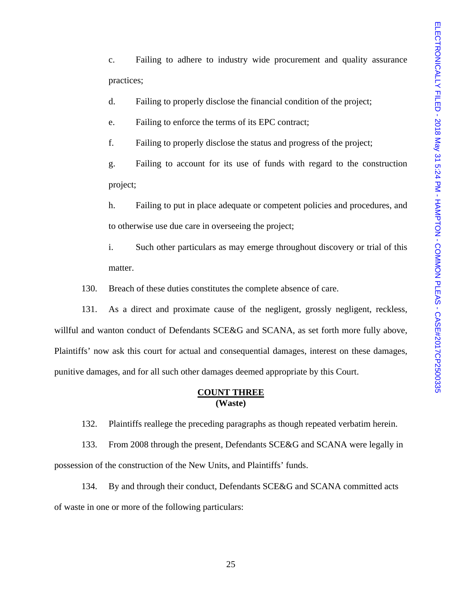c. Failing to adhere to industry wide procurement and quality assurance practices;

d. Failing to properly disclose the financial condition of the project;

e. Failing to enforce the terms of its EPC contract;

f. Failing to properly disclose the status and progress of the project;

g. Failing to account for its use of funds with regard to the construction project;

h. Failing to put in place adequate or competent policies and procedures, and to otherwise use due care in overseeing the project;

i. Such other particulars as may emerge throughout discovery or trial of this matter.

130. Breach of these duties constitutes the complete absence of care.

131. As a direct and proximate cause of the negligent, grossly negligent, reckless, willful and wanton conduct of Defendants SCE&G and SCANA, as set forth more fully above, Plaintiffs' now ask this court for actual and consequential damages, interest on these damages, punitive damages, and for all such other damages deemed appropriate by this Court.

## **COUNT THREE (Waste)**

132. Plaintiffs reallege the preceding paragraphs as though repeated verbatim herein.

 133. From 2008 through the present, Defendants SCE&G and SCANA were legally in possession of the construction of the New Units, and Plaintiffs' funds.

 134. By and through their conduct, Defendants SCE&G and SCANA committed acts of waste in one or more of the following particulars: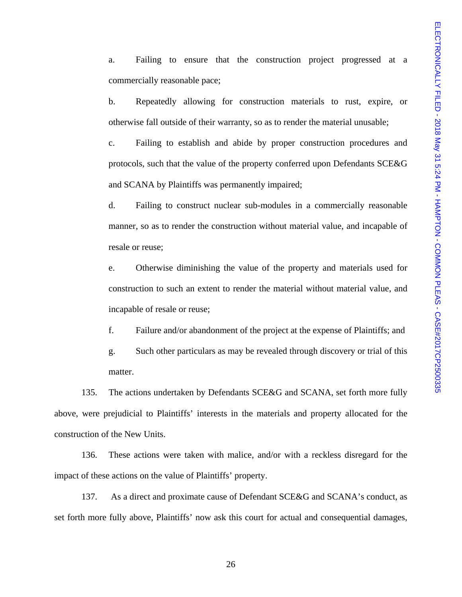a. Failing to ensure that the construction project progressed at a commercially reasonable pace;

b. Repeatedly allowing for construction materials to rust, expire, or otherwise fall outside of their warranty, so as to render the material unusable;

c. Failing to establish and abide by proper construction procedures and protocols, such that the value of the property conferred upon Defendants SCE&G and SCANA by Plaintiffs was permanently impaired;

d. Failing to construct nuclear sub-modules in a commercially reasonable manner, so as to render the construction without material value, and incapable of resale or reuse;

e. Otherwise diminishing the value of the property and materials used for construction to such an extent to render the material without material value, and incapable of resale or reuse;

f. Failure and/or abandonment of the project at the expense of Plaintiffs; and

g. Such other particulars as may be revealed through discovery or trial of this matter.

 135. The actions undertaken by Defendants SCE&G and SCANA, set forth more fully above, were prejudicial to Plaintiffs' interests in the materials and property allocated for the construction of the New Units.

 136. These actions were taken with malice, and/or with a reckless disregard for the impact of these actions on the value of Plaintiffs' property.

 137. As a direct and proximate cause of Defendant SCE&G and SCANA's conduct, as set forth more fully above, Plaintiffs' now ask this court for actual and consequential damages,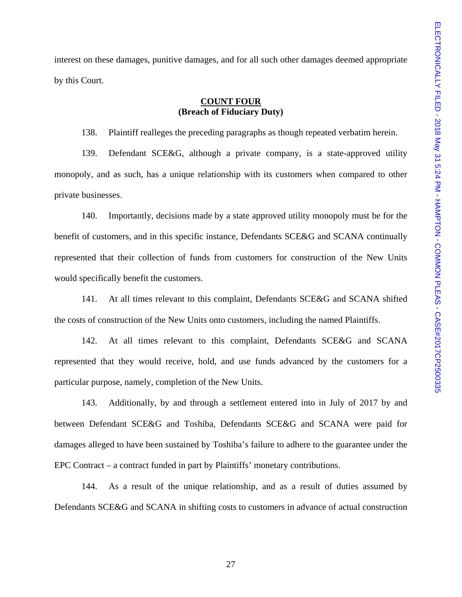interest on these damages, punitive damages, and for all such other damages deemed appropriate by this Court.

## **COUNT FOUR (Breach of Fiduciary Duty)**

138. Plaintiff realleges the preceding paragraphs as though repeated verbatim herein.

 139. Defendant SCE&G, although a private company, is a state-approved utility monopoly, and as such, has a unique relationship with its customers when compared to other private businesses.

 140. Importantly, decisions made by a state approved utility monopoly must be for the benefit of customers, and in this specific instance, Defendants SCE&G and SCANA continually represented that their collection of funds from customers for construction of the New Units would specifically benefit the customers.

 141. At all times relevant to this complaint, Defendants SCE&G and SCANA shifted the costs of construction of the New Units onto customers, including the named Plaintiffs.

 142. At all times relevant to this complaint, Defendants SCE&G and SCANA represented that they would receive, hold, and use funds advanced by the customers for a particular purpose, namely, completion of the New Units.

 143. Additionally, by and through a settlement entered into in July of 2017 by and between Defendant SCE&G and Toshiba, Defendants SCE&G and SCANA were paid for damages alleged to have been sustained by Toshiba's failure to adhere to the guarantee under the EPC Contract – a contract funded in part by Plaintiffs' monetary contributions.

 144. As a result of the unique relationship, and as a result of duties assumed by Defendants SCE&G and SCANA in shifting costs to customers in advance of actual construction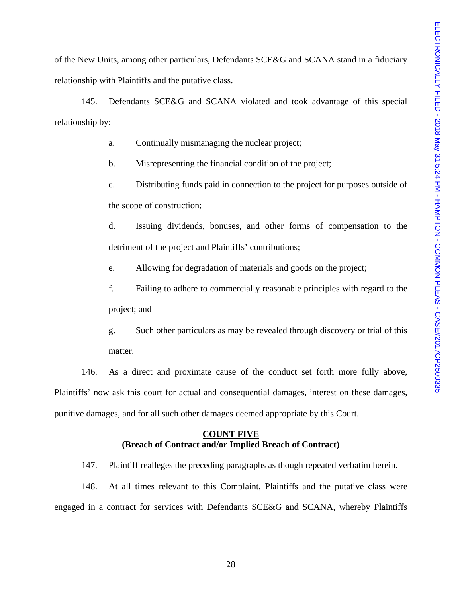of the New Units, among other particulars, Defendants SCE&G and SCANA stand in a fiduciary relationship with Plaintiffs and the putative class.

 145. Defendants SCE&G and SCANA violated and took advantage of this special relationship by:

a. Continually mismanaging the nuclear project;

b. Misrepresenting the financial condition of the project;

c. Distributing funds paid in connection to the project for purposes outside of the scope of construction;

d. Issuing dividends, bonuses, and other forms of compensation to the detriment of the project and Plaintiffs' contributions;

e. Allowing for degradation of materials and goods on the project;

f. Failing to adhere to commercially reasonable principles with regard to the project; and

g. Such other particulars as may be revealed through discovery or trial of this matter.

 146. As a direct and proximate cause of the conduct set forth more fully above, Plaintiffs' now ask this court for actual and consequential damages, interest on these damages, punitive damages, and for all such other damages deemed appropriate by this Court.

# **COUNT FIVE (Breach of Contract and/or Implied Breach of Contract)**

147. Plaintiff realleges the preceding paragraphs as though repeated verbatim herein.

 148. At all times relevant to this Complaint, Plaintiffs and the putative class were engaged in a contract for services with Defendants SCE&G and SCANA, whereby Plaintiffs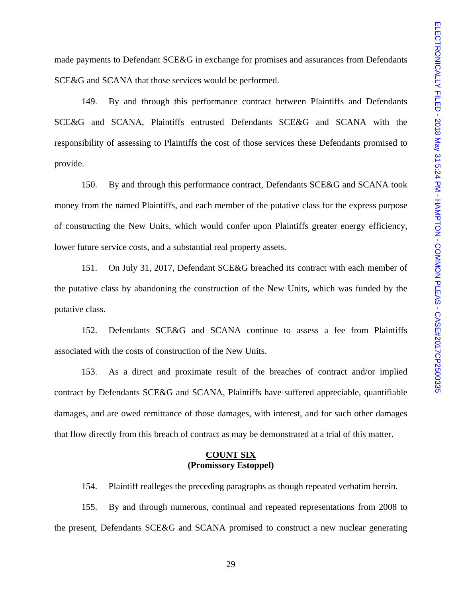made payments to Defendant SCE&G in exchange for promises and assurances from Defendants SCE&G and SCANA that those services would be performed.

 149. By and through this performance contract between Plaintiffs and Defendants SCE&G and SCANA, Plaintiffs entrusted Defendants SCE&G and SCANA with the responsibility of assessing to Plaintiffs the cost of those services these Defendants promised to provide.

 150. By and through this performance contract, Defendants SCE&G and SCANA took money from the named Plaintiffs, and each member of the putative class for the express purpose of constructing the New Units, which would confer upon Plaintiffs greater energy efficiency, lower future service costs, and a substantial real property assets.

 151. On July 31, 2017, Defendant SCE&G breached its contract with each member of the putative class by abandoning the construction of the New Units, which was funded by the putative class.

 152. Defendants SCE&G and SCANA continue to assess a fee from Plaintiffs associated with the costs of construction of the New Units.

 153. As a direct and proximate result of the breaches of contract and/or implied contract by Defendants SCE&G and SCANA, Plaintiffs have suffered appreciable, quantifiable damages, and are owed remittance of those damages, with interest, and for such other damages that flow directly from this breach of contract as may be demonstrated at a trial of this matter.

### **COUNT SIX (Promissory Estoppel)**

154. Plaintiff realleges the preceding paragraphs as though repeated verbatim herein.

 155. By and through numerous, continual and repeated representations from 2008 to the present, Defendants SCE&G and SCANA promised to construct a new nuclear generating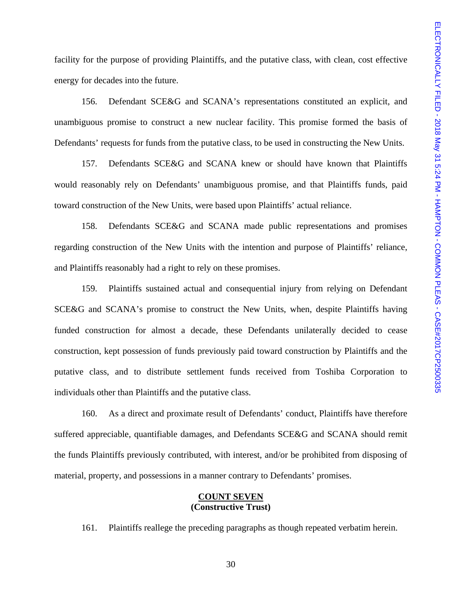facility for the purpose of providing Plaintiffs, and the putative class, with clean, cost effective energy for decades into the future.

 156. Defendant SCE&G and SCANA's representations constituted an explicit, and unambiguous promise to construct a new nuclear facility. This promise formed the basis of Defendants' requests for funds from the putative class, to be used in constructing the New Units.

 157. Defendants SCE&G and SCANA knew or should have known that Plaintiffs would reasonably rely on Defendants' unambiguous promise, and that Plaintiffs funds, paid toward construction of the New Units, were based upon Plaintiffs' actual reliance.

 158. Defendants SCE&G and SCANA made public representations and promises regarding construction of the New Units with the intention and purpose of Plaintiffs' reliance, and Plaintiffs reasonably had a right to rely on these promises.

 159. Plaintiffs sustained actual and consequential injury from relying on Defendant SCE&G and SCANA's promise to construct the New Units, when, despite Plaintiffs having funded construction for almost a decade, these Defendants unilaterally decided to cease construction, kept possession of funds previously paid toward construction by Plaintiffs and the putative class, and to distribute settlement funds received from Toshiba Corporation to individuals other than Plaintiffs and the putative class.

 160. As a direct and proximate result of Defendants' conduct, Plaintiffs have therefore suffered appreciable, quantifiable damages, and Defendants SCE&G and SCANA should remit the funds Plaintiffs previously contributed, with interest, and/or be prohibited from disposing of material, property, and possessions in a manner contrary to Defendants' promises.

### **COUNT SEVEN (Constructive Trust)**

161. Plaintiffs reallege the preceding paragraphs as though repeated verbatim herein.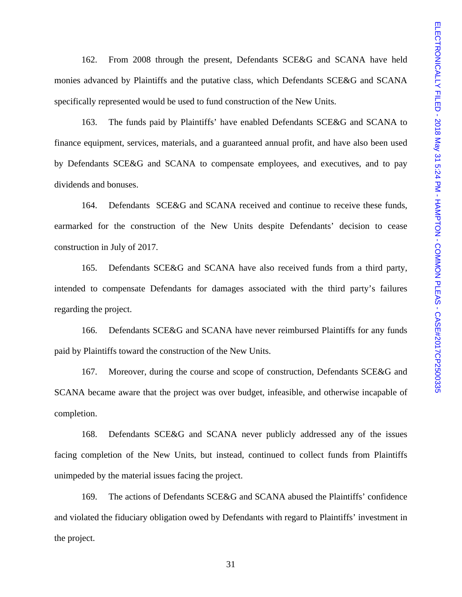162. From 2008 through the present, Defendants SCE&G and SCANA have held monies advanced by Plaintiffs and the putative class, which Defendants SCE&G and SCANA specifically represented would be used to fund construction of the New Units.

 163. The funds paid by Plaintiffs' have enabled Defendants SCE&G and SCANA to finance equipment, services, materials, and a guaranteed annual profit, and have also been used by Defendants SCE&G and SCANA to compensate employees, and executives, and to pay dividends and bonuses.

 164. Defendants SCE&G and SCANA received and continue to receive these funds, earmarked for the construction of the New Units despite Defendants' decision to cease construction in July of 2017.

 165. Defendants SCE&G and SCANA have also received funds from a third party, intended to compensate Defendants for damages associated with the third party's failures regarding the project.

 166. Defendants SCE&G and SCANA have never reimbursed Plaintiffs for any funds paid by Plaintiffs toward the construction of the New Units.

 167. Moreover, during the course and scope of construction, Defendants SCE&G and SCANA became aware that the project was over budget, infeasible, and otherwise incapable of completion.

 168. Defendants SCE&G and SCANA never publicly addressed any of the issues facing completion of the New Units, but instead, continued to collect funds from Plaintiffs unimpeded by the material issues facing the project.

 169. The actions of Defendants SCE&G and SCANA abused the Plaintiffs' confidence and violated the fiduciary obligation owed by Defendants with regard to Plaintiffs' investment in the project.

31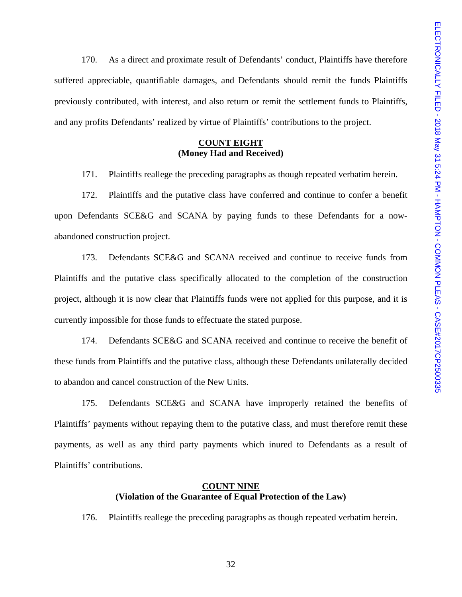170. As a direct and proximate result of Defendants' conduct, Plaintiffs have therefore suffered appreciable, quantifiable damages, and Defendants should remit the funds Plaintiffs previously contributed, with interest, and also return or remit the settlement funds to Plaintiffs, and any profits Defendants' realized by virtue of Plaintiffs' contributions to the project.

# **COUNT EIGHT (Money Had and Received)**

171. Plaintiffs reallege the preceding paragraphs as though repeated verbatim herein.

 172. Plaintiffs and the putative class have conferred and continue to confer a benefit upon Defendants SCE&G and SCANA by paying funds to these Defendants for a nowabandoned construction project.

 173. Defendants SCE&G and SCANA received and continue to receive funds from Plaintiffs and the putative class specifically allocated to the completion of the construction project, although it is now clear that Plaintiffs funds were not applied for this purpose, and it is currently impossible for those funds to effectuate the stated purpose.

 174. Defendants SCE&G and SCANA received and continue to receive the benefit of these funds from Plaintiffs and the putative class, although these Defendants unilaterally decided to abandon and cancel construction of the New Units.

 175. Defendants SCE&G and SCANA have improperly retained the benefits of Plaintiffs' payments without repaying them to the putative class, and must therefore remit these payments, as well as any third party payments which inured to Defendants as a result of Plaintiffs' contributions.

## **COUNT NINE (Violation of the Guarantee of Equal Protection of the Law)**

176. Plaintiffs reallege the preceding paragraphs as though repeated verbatim herein.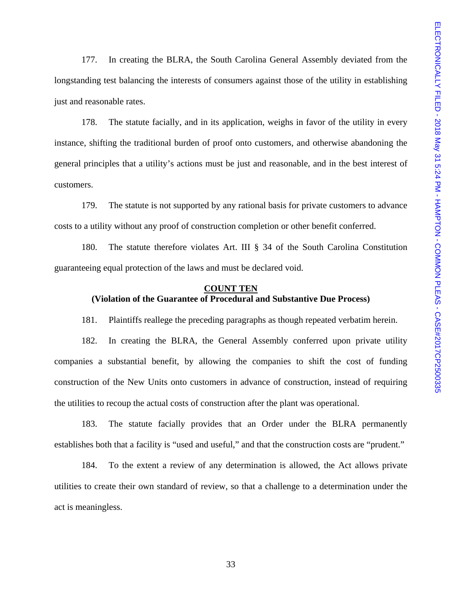177. In creating the BLRA, the South Carolina General Assembly deviated from the longstanding test balancing the interests of consumers against those of the utility in establishing just and reasonable rates.

 178. The statute facially, and in its application, weighs in favor of the utility in every instance, shifting the traditional burden of proof onto customers, and otherwise abandoning the general principles that a utility's actions must be just and reasonable, and in the best interest of customers.

 179. The statute is not supported by any rational basis for private customers to advance costs to a utility without any proof of construction completion or other benefit conferred.

 180. The statute therefore violates Art. III § 34 of the South Carolina Constitution guaranteeing equal protection of the laws and must be declared void.

## **COUNT TEN (Violation of the Guarantee of Procedural and Substantive Due Process)**

181. Plaintiffs reallege the preceding paragraphs as though repeated verbatim herein.

 182. In creating the BLRA, the General Assembly conferred upon private utility companies a substantial benefit, by allowing the companies to shift the cost of funding construction of the New Units onto customers in advance of construction, instead of requiring the utilities to recoup the actual costs of construction after the plant was operational.

 183. The statute facially provides that an Order under the BLRA permanently establishes both that a facility is "used and useful," and that the construction costs are "prudent."

 184. To the extent a review of any determination is allowed, the Act allows private utilities to create their own standard of review, so that a challenge to a determination under the act is meaningless.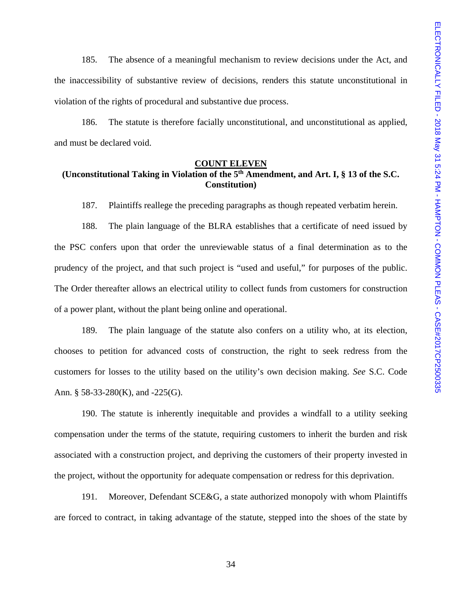185. The absence of a meaningful mechanism to review decisions under the Act, and the inaccessibility of substantive review of decisions, renders this statute unconstitutional in violation of the rights of procedural and substantive due process.

 186. The statute is therefore facially unconstitutional, and unconstitutional as applied, and must be declared void.

## **COUNT ELEVEN (Unconstitutional Taking in Violation of the 5th Amendment, and Art. I, § 13 of the S.C. Constitution)**

187. Plaintiffs reallege the preceding paragraphs as though repeated verbatim herein.

 188. The plain language of the BLRA establishes that a certificate of need issued by the PSC confers upon that order the unreviewable status of a final determination as to the prudency of the project, and that such project is "used and useful," for purposes of the public. The Order thereafter allows an electrical utility to collect funds from customers for construction of a power plant, without the plant being online and operational.

 189. The plain language of the statute also confers on a utility who, at its election, chooses to petition for advanced costs of construction, the right to seek redress from the customers for losses to the utility based on the utility's own decision making. *See* S.C. Code Ann. § 58-33-280(K), and -225(G).

 190. The statute is inherently inequitable and provides a windfall to a utility seeking compensation under the terms of the statute, requiring customers to inherit the burden and risk associated with a construction project, and depriving the customers of their property invested in the project, without the opportunity for adequate compensation or redress for this deprivation.

 191. Moreover, Defendant SCE&G, a state authorized monopoly with whom Plaintiffs are forced to contract, in taking advantage of the statute, stepped into the shoes of the state by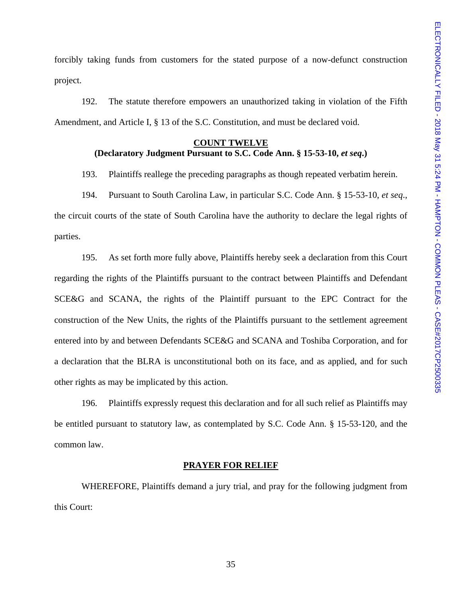forcibly taking funds from customers for the stated purpose of a now-defunct construction project.

 192. The statute therefore empowers an unauthorized taking in violation of the Fifth Amendment, and Article I, § 13 of the S.C. Constitution, and must be declared void.

# **COUNT TWELVE (Declaratory Judgment Pursuant to S.C. Code Ann. § 15-53-10,** *et seq***.)**

193. Plaintiffs reallege the preceding paragraphs as though repeated verbatim herein.

 194. Pursuant to South Carolina Law, in particular S.C. Code Ann. § 15-53-10, *et seq*., the circuit courts of the state of South Carolina have the authority to declare the legal rights of parties.

 195. As set forth more fully above, Plaintiffs hereby seek a declaration from this Court regarding the rights of the Plaintiffs pursuant to the contract between Plaintiffs and Defendant SCE&G and SCANA, the rights of the Plaintiff pursuant to the EPC Contract for the construction of the New Units, the rights of the Plaintiffs pursuant to the settlement agreement entered into by and between Defendants SCE&G and SCANA and Toshiba Corporation, and for a declaration that the BLRA is unconstitutional both on its face, and as applied, and for such other rights as may be implicated by this action.

 196. Plaintiffs expressly request this declaration and for all such relief as Plaintiffs may be entitled pursuant to statutory law, as contemplated by S.C. Code Ann. § 15-53-120, and the common law.

#### **PRAYER FOR RELIEF**

 WHEREFORE, Plaintiffs demand a jury trial, and pray for the following judgment from this Court: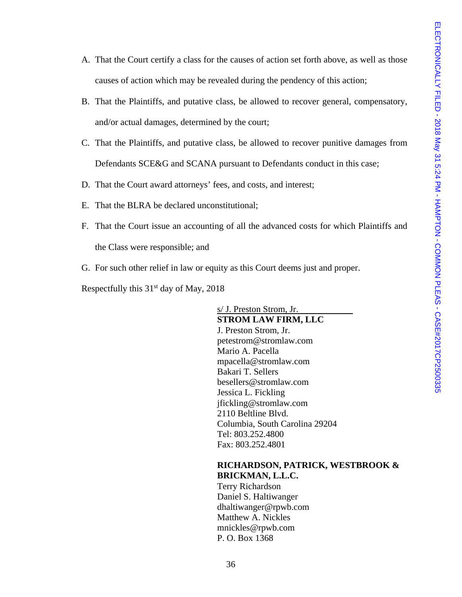- A. That the Court certify a class for the causes of action set forth above, as well as those causes of action which may be revealed during the pendency of this action;
- B. That the Plaintiffs, and putative class, be allowed to recover general, compensatory, and/or actual damages, determined by the court;
- C. That the Plaintiffs, and putative class, be allowed to recover punitive damages from Defendants SCE&G and SCANA pursuant to Defendants conduct in this case;
- D. That the Court award attorneys' fees, and costs, and interest;
- E. That the BLRA be declared unconstitutional;
- F. That the Court issue an accounting of all the advanced costs for which Plaintiffs and the Class were responsible; and
- G. For such other relief in law or equity as this Court deems just and proper.

Respectfully this  $31<sup>st</sup>$  day of May, 2018

s/ J. Preston Strom, Jr. **STROM LAW FIRM, LLC**  J. Preston Strom, Jr. petestrom@stromlaw.com Mario A. Pacella mpacella@stromlaw.com Bakari T. Sellers besellers@stromlaw.com Jessica L. Fickling jfickling@stromlaw.com 2110 Beltline Blvd. Columbia, South Carolina 29204 Tel: 803.252.4800 Fax: 803.252.4801

# **RICHARDSON, PATRICK, WESTBROOK & BRICKMAN, L.L.C.**

 Terry Richardson Daniel S. Haltiwanger dhaltiwanger@rpwb.com Matthew A. Nickles mnickles@rpwb.com P. O. Box 1368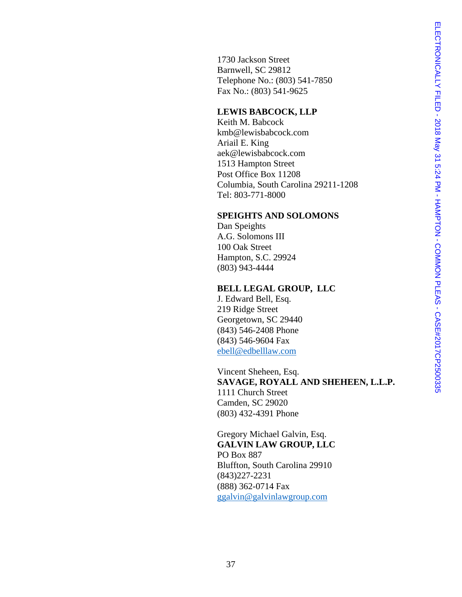1730 Jackson Street Barnwell, SC 29812 Telephone No.: (803) 541-7850 Fax No.: (803) 541-9625

## **LEWIS BABCOCK, LLP**

Keith M. Babcock kmb@lewisbabcock.com Ariail E. King aek@lewisbabcock.com 1513 Hampton Street Post Office Box 11208 Columbia, South Carolina 29211-1208 Tel: 803-771-8000

## **SPEIGHTS AND SOLOMONS**

Dan Speights A.G. Solomons III 100 Oak Street Hampton, S.C. 29924 (803) 943-4444

### **BELL LEGAL GROUP, LLC**

J. Edward Bell, Esq. 219 Ridge Street Georgetown, SC 29440 (843) 546-2408 Phone (843) 546-9604 Fax ebell@edbelllaw.com

Vincent Sheheen, Esq. **SAVAGE, ROYALL AND SHEHEEN, L.L.P.**  1111 Church Street Camden, SC 29020 (803) 432-4391 Phone

Gregory Michael Galvin, Esq. **GALVIN LAW GROUP, LLC** PO Box 887 Bluffton, South Carolina 29910 (843)227-2231 (888) 362-0714 Fax ggalvin@galvinlawgroup.com